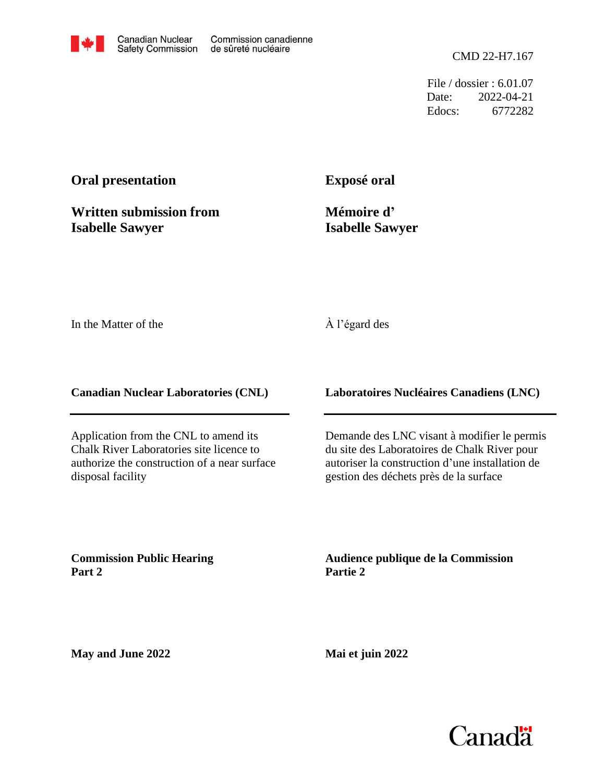File / dossier : 6.01.07 Date: 2022-04-21 Edocs: 6772282

# **Oral presentation**

**Written submission from Isabelle Sawyer**

**Exposé oral**

**Mémoire d' Isabelle Sawyer**

In the Matter of the

## À l'égard des

**Canadian Nuclear Laboratories (CNL)**

Application from the CNL to amend its Chalk River Laboratories site licence to authorize the construction of a near surface disposal facility

**Laboratoires Nucléaires Canadiens (LNC)**

Demande des LNC visant à modifier le permis du site des Laboratoires de Chalk River pour autoriser la construction d'une installation de gestion des déchets près de la surface

**Commission Public Hearing Part 2**

**Audience publique de la Commission Partie 2**

**May and June 2022**

**Mai et juin 2022**

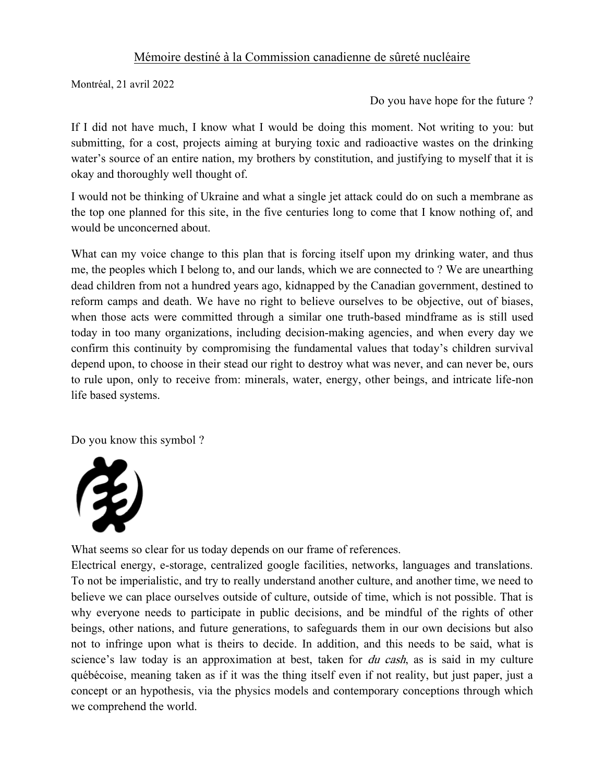Montréal, 21 avril 2022

Do you have hope for the future ?

If I did not have much, I know what I would be doing this moment. Not writing to you: but submitting, for a cost, projects aiming at burying toxic and radioactive wastes on the drinking water's source of an entire nation, my brothers by constitution, and justifying to myself that it is okay and thoroughly well thought of. water's source of an entire nation, my brothers by constitution, and justifying to myself that it is<br>okay and thoroughly well thought of.<br>I would not be thinking of Ukraine and what a single jet attack could do on such a m

the top one planned for this site, in the five centuries long to come that I know nothing of, and would be unconcerned about.

What can my voice change to this plan that is forcing itself upon my drinking water, and thus me, the peoples which I belong to, and our lands, which we are connected to ? We are unearthing dead children from not a hundred years ago, kidnapped by the Canadian government reform camps and death. We have no right to believe ourselves to be objective, out of biases, when those acts were committed through a similar one truth-based mindframe as is still used today in too many organizations, including decision-making agencies, and when every day we confirm this continuity by compromising the fundamental values that today's children survival depend upon, to choose in their stead our right to destroy what was never, and can never be, ours to rule upon, only to receive from: minerals, water, energy, other beings, and intricate life-non life based systems. pon my drinking water, and thus<br>connected to ? We are unearthing<br>Canadian government, destined to

Do you know this symbol ?



What seems so clear for us today depends on our frame of references.

Electrical energy, e-storage, centralized google facilities, networks, languages and translations. To not be imperialistic, and try to really understand another culture, and another time, we need to believe we can place ourselves outside of culture, outside of time, which is not possible. That is why everyone needs to participate in public decisions, and be mindful of the beings, other nations, and future generations, to safeguards them in our own decisions but also not to infringe upon what is theirs to decide. In addition, and this needs to be said, what is science's law today is an approximation at best, taken for *du cash*, as is said in my culture québécoise, meaning taken as if it was the thing itself even if not reality, but just paper, just a québécoise, meaning taken as if it was the thing itself even if not reality, but just paper, just a<br>concept or an hypothesis, via the physics models and contemporary conceptions through which we comprehend the world. tworks, languages and translations.<br>alture, and another time, we need to<br>time, which is not possible. That is<br>be mindful of the rights of other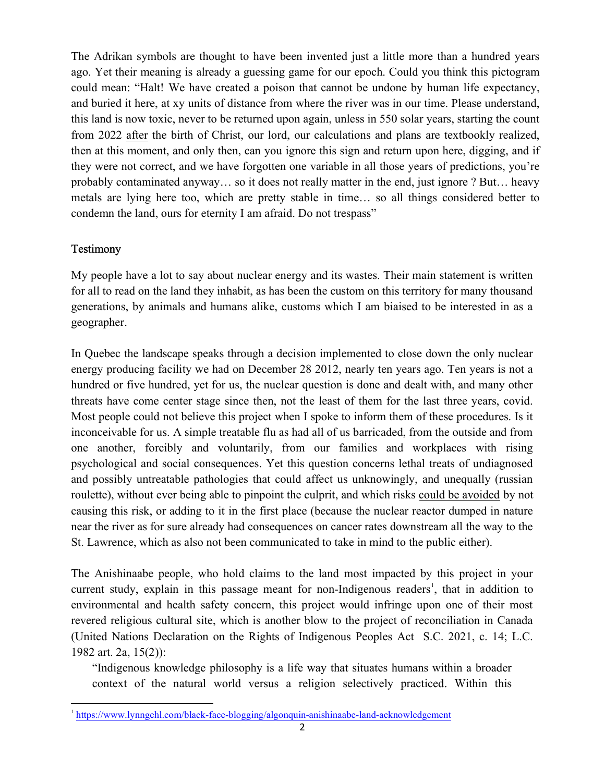The Adrikan symbols are thought to have been invented just a little more than a hundred years ago. Yet their meaning is already a guessing game for our epoch. Could you think this pictogram could mean: "Halt! We have created a poison that cannot be undone by human life expectancy, and buried it here, at xy units of distance from where the river was in our time. Please understand, this land is now toxic, never to be returned upon again, unless in 550 solar years, starting the count from 2022 after the birth of Christ, our lord, our calculations and plans are textbookly realized, then at this moment, and only then, can you ignore this sign and return upon here, digging, and if they were not correct, and we have forgotten one variable in all those years of predictions, you're probably contaminated anyway… so it does not really matter in the end, just ignore ? But… heavy metals are lying here too, which are pretty stable in time… so all things considered better to condemn the land, ours for eternity I am afraid. Do not trespass"

### Testimony

My people have a lot to say about nuclear energy and its wastes. Their main statement is written for all to read on the land they inhabit, as has been the custom on this territory for many thousand generations, by animals and humans alike, customs which I am biaised to be interested in as a geographer.

In Quebec the landscape speaks through a decision implemented to close down the only nuclear energy producing facility we had on December 28 2012, nearly ten years ago. Ten years is not a hundred or five hundred, yet for us, the nuclear question is done and dealt with, and many other threats have come center stage since then, not the least of them for the last three years, covid. Most people could not believe this project when I spoke to inform them of these procedures. Is it inconceivable for us. A simple treatable flu as had all of us barricaded, from the outside and from one another, forcibly and voluntarily, from our families and workplaces with rising psychological and social consequences. Yet this question concerns lethal treats of undiagnosed and possibly untreatable pathologies that could affect us unknowingly, and unequally (russian roulette), without ever being able to pinpoint the culprit, and which risks could be avoided by not causing this risk, or adding to it in the first place (because the nuclear reactor dumped in nature near the river as for sure already had consequences on cancer rates downstream all the way to the St. Lawrence, which as also not been communicated to take in mind to the public either).

The Anishinaabe people, who hold claims to the land most impacted by this project in your current study, explain in this passage meant for non-Indigenous readers<sup>1</sup>, that in addition to environmental and health safety concern, this project would infringe upon one of their most revered religious cultural site, which is another blow to the project of reconciliation in Canada (United Nations Declaration on the Rights of Indigenous Peoples Act S.C. 2021, c. 14; L.C. 1982 art. 2a, 15(2)):

"Indigenous knowledge philosophy is a life way that situates humans within a broader context of the natural world versus a religion selectively practiced. Within this

 1 https://www.lynngehl.com/black-face-blogging/algonquin-anishinaabe-land-acknowledgement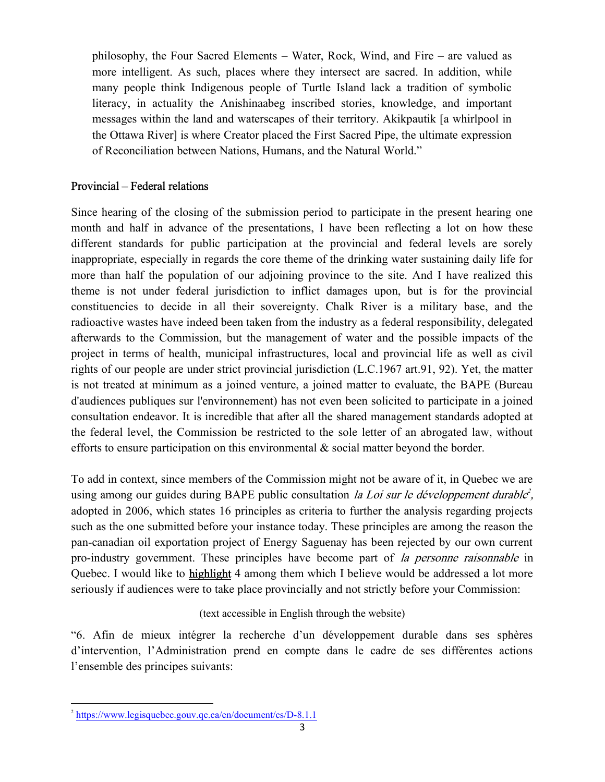philosophy, the Four Sacred Elements  $-$  Water, Rock, Wind, and Fire  $-$  are valued as more intelligent. As such, places where they intersect are sacred. In addition, while many people think Indigenous people of Turtle Island lack a tradition of symbolic literacy, in actuality the Anishinaabeg inscribed stories, knowledge, and important messages within the land and waterscapes of their territory. Akikpautik [a whirlpool in the Ottawa River] is where Creator placed the First Sacred Pipe, the ultimate expression of Reconciliation between Nations, Humans, and the Natural World."

#### Provincial – Federal relations

Since hearing of the closing of the submission period to participate in the present hearing one month and half in advance of the presentations, I have been reflecting a lot on how these different standards for public participation at the provincial and federal levels are sorely inappropriate, especially in regards the core theme of the drinking water sustaining daily life for more than half the population of our adjoining province to the site. And I have realized this theme is not under federal jurisdiction to inflict damages upon, but is for the provincial constituencies to decide in all their sovereignty. Chalk River is a military base, and the radioactive wastes have indeed been taken from the industry as a federal responsibility, delegated afterwards to the Commission, but the management of water and the possible impacts of the project in terms of health, municipal infrastructures, local and provincial life as well as civil rights of our people are under strict provincial jurisdiction (L.C.1967 art.91, 92). Yet, the matter is not treated at minimum as a joined venture, a joined matter to evaluate, the BAPE (Bureau d'audiences publiques sur l'environnement) has not even been solicited to participate in a joined consultation endeavor. It is incredible that after all the shared management standards adopted at the federal level, the Commission be restricted to the sole letter of an abrogated law, without efforts to ensure participation on this environmental  $\&$  social matter beyond the border.

To add in context, since members of the Commission might not be aware of it, in Quebec we are using among our guides during BAPE public consultation *la Loi sur le développement durable*<sup>2</sup>, adopted in 2006, which states 16 principles as criteria to further the analysis regarding projects such as the one submitted before your instance today. These principles are among the reason the pan-canadian oil exportation project of Energy Saguenay has been rejected by our own current pro-industry government. These principles have become part of *la personne raisonnable* in Quebec. I would like to highlight 4 among them which I believe would be addressed a lot more seriously if audiences were to take place provincially and not strictly before your Commission:

#### (text accessible in English through the website)

"6. Afin de mieux intégrer la recherche d'un développement durable dans ses sphères d'intervention, l'Administration prend en compte dans le cadre de ses différentes actions l'ensemble des principes suivants:

 2 https://www.legisquebec.gouv.qc.ca/en/document/cs/D-8.1.1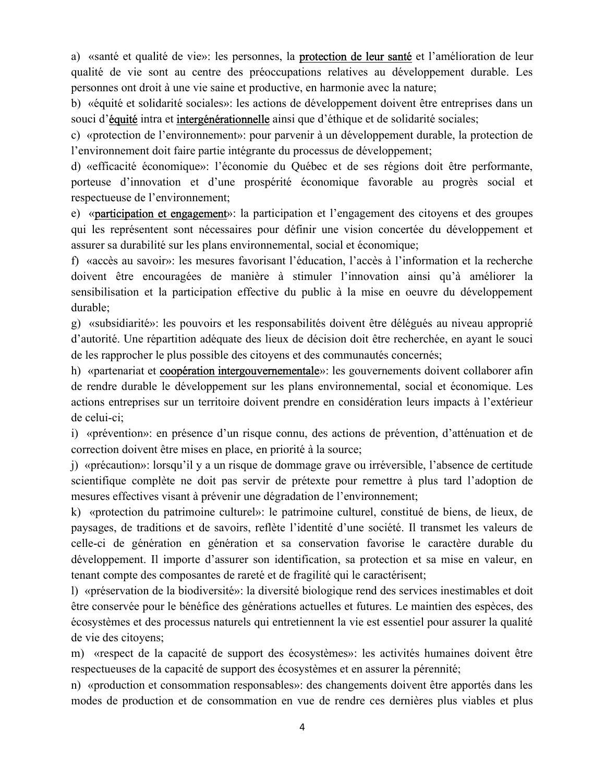a) «santé et qualité de vie»: les personnes, la protection de leur santé et l'amélioration de leur qualité de vie sont au centre des préoccupations relatives au développement durable. Les personnes ont droit à une vie saine et productive, en harmonie avec la nature;

b) «équité et solidarité sociales»: les actions de développement doivent être entreprises dans un souci d'équité intra et intergénérationnelle ainsi que d'éthique et de solidarité sociales;

c) «protection de l'environnement»: pour parvenir à un développement durable, la protection de l'environnement doit faire partie intégrante du processus de développement;

d) «efficacité économique»: l'économie du Québec et de ses régions doit être performante, porteuse d'innovation et d'une prospérité économique favorable au progrès social et respectueuse de l'environnement;

e) «participation et engagement»: la participation et l'engagement des citoyens et des groupes qui les représentent sont nécessaires pour définir une vision concertée du développement et assurer sa durabilité sur les plans environnemental, social et économique;

f) «accès au savoir»: les mesures favorisant l'éducation, l'accès à l'information et la recherche doivent être encouragées de manière à stimuler l'innovation ainsi qu'à améliorer la sensibilisation et la participation effective du public à la mise en oeuvre du développement durable;

g) «subsidiarité»: les pouvoirs et les responsabilités doivent être délégués au niveau approprié d'autorité. Une répartition adéquate des lieux de décision doit être recherchée, en ayant le souci de les rapprocher le plus possible des citoyens et des communautés concernés;

h) «partenariat et coopération intergouvernementale»: les gouvernements doivent collaborer afin de rendre durable le développement sur les plans environnemental, social et économique. Les actions entreprises sur un territoire doivent prendre en considération leurs impacts à l'extérieur de celui-ci;

i) «prévention»: en présence d'un risque connu, des actions de prévention, d'atténuation et de correction doivent être mises en place, en priorité à la source;

j) «précaution»: lorsqu'il y a un risque de dommage grave ou irréversible, l'absence de certitude scientifique complète ne doit pas servir de prétexte pour remettre à plus tard l'adoption de mesures effectives visant à prévenir une dégradation de l'environnement;

k) «protection du patrimoine culturel»: le patrimoine culturel, constitué de biens, de lieux, de paysages, de traditions et de savoirs, reflète l'identité d'une société. Il transmet les valeurs de celle-ci de génération en génération et sa conservation favorise le caractère durable du développement. Il importe d'assurer son identification, sa protection et sa mise en valeur, en tenant compte des composantes de rareté et de fragilité qui le caractérisent;

l) «préservation de la biodiversité»: la diversité biologique rend des services inestimables et doit être conservée pour le bénéfice des générations actuelles et futures. Le maintien des espèces, des écosystèmes et des processus naturels qui entretiennent la vie est essentiel pour assurer la qualité de vie des citoyens;

m) «respect de la capacité de support des écosystèmes»: les activités humaines doivent être respectueuses de la capacité de support des écosystèmes et en assurer la pérennité;

n) «production et consommation responsables»: des changements doivent être apportés dans les modes de production et de consommation en vue de rendre ces dernières plus viables et plus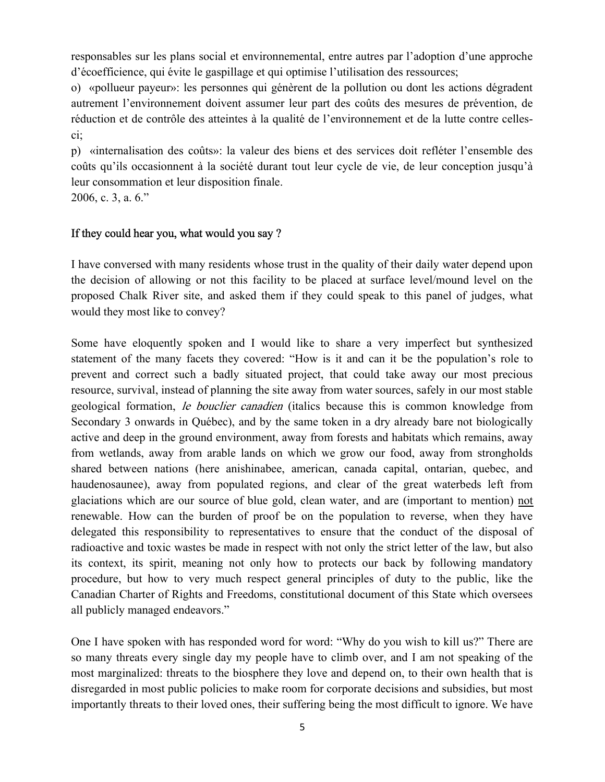responsables sur les plans social et environnemental, entre autres par l'adoption d'une approche d'écoefficience, qui évite le gaspillage et qui optimise l'utilisation des ressources;

o) «pollueur payeur»: les personnes qui génèrent de la pollution ou dont les actions dégradent autrement l'environnement doivent assumer leur part des coûts des mesures de prévention, de réduction et de contrôle des atteintes à la qualité de l'environnement et de la lutte contre cellesci;

p) «internalisation des coûts»: la valeur des biens et des services doit refléter l'ensemble des coûts qu'ils occasionnent à la société durant tout leur cycle de vie, de leur conception jusqu'à leur consommation et leur disposition finale.

2006, c. 3, a. 6."

#### If they could hear you, what would you say ?

I have conversed with many residents whose trust in the quality of their daily water depend upon the decision of allowing or not this facility to be placed at surface level/mound level on the proposed Chalk River site, and asked them if they could speak to this panel of judges, what would they most like to convey?

Some have eloquently spoken and I would like to share a very imperfect but synthesized statement of the many facets they covered: "How is it and can it be the population's role to prevent and correct such a badly situated project, that could take away our most precious resource, survival, instead of planning the site away from water sources, safely in our most stable geological formation, *le bouclier canadien* (italics because this is common knowledge from Secondary 3 onwards in Québec), and by the same token in a dry already bare not biologically active and deep in the ground environment, away from forests and habitats which remains, away from wetlands, away from arable lands on which we grow our food, away from strongholds shared between nations (here anishinabee, american, canada capital, ontarian, quebec, and haudenosaunee), away from populated regions, and clear of the great waterbeds left from glaciations which are our source of blue gold, clean water, and are (important to mention) not renewable. How can the burden of proof be on the population to reverse, when they have delegated this responsibility to representatives to ensure that the conduct of the disposal of radioactive and toxic wastes be made in respect with not only the strict letter of the law, but also its context, its spirit, meaning not only how to protects our back by following mandatory procedure, but how to very much respect general principles of duty to the public, like the Canadian Charter of Rights and Freedoms, constitutional document of this State which oversees all publicly managed endeavors."

One I have spoken with has responded word for word: "Why do you wish to kill us?" There are so many threats every single day my people have to climb over, and I am not speaking of the most marginalized: threats to the biosphere they love and depend on, to their own health that is disregarded in most public policies to make room for corporate decisions and subsidies, but most importantly threats to their loved ones, their suffering being the most difficult to ignore. We have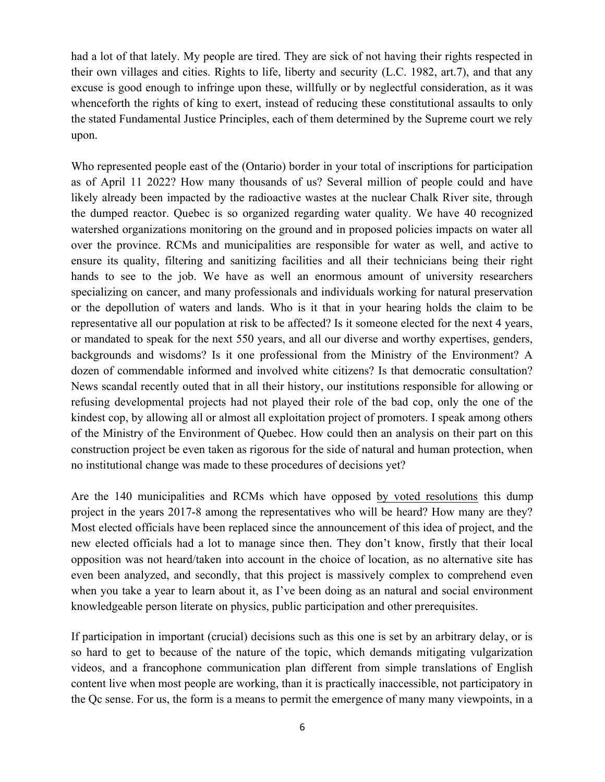had a lot of that lately. My people are tired. They are sick of not having their rights respected in their own villages and cities. Rights to life, liberty and security (L.C. 1982, art.7), and that any excuse is good enough to infringe upon these, willfully or by neglectful consideration, as it was whenceforth the rights of king to exert, instead of reducing these constitutional assaults to only the stated Fundamental Justice Principles, each of them determined by the Supreme court we rely upon.

Who represented people east of the (Ontario) border in your total of inscriptions for participation as of April 11 2022? How many thousands of us? Several million of people could and have likely already been impacted by the radioactive wastes at the nuclear Chalk River site, through the dumped reactor. Quebec is so organized regarding water quality. We have 40 recognized watershed organizations monitoring on the ground and in proposed policies impacts on water all over the province. RCMs and municipalities are responsible for water as well, and active to ensure its quality, filtering and sanitizing facilities and all their technicians being their right hands to see to the job. We have as well an enormous amount of university researchers specializing on cancer, and many professionals and individuals working for natural preservation or the depollution of waters and lands. Who is it that in your hearing holds the claim to be representative all our population at risk to be affected? Is it someone elected for the next 4 years, or mandated to speak for the next 550 years, and all our diverse and worthy expertises, genders, backgrounds and wisdoms? Is it one professional from the Ministry of the Environment? A dozen of commendable informed and involved white citizens? Is that democratic consultation? News scandal recently outed that in all their history, our institutions responsible for allowing or refusing developmental projects had not played their role of the bad cop, only the one of the kindest cop, by allowing all or almost all exploitation project of promoters. I speak among others of the Ministry of the Environment of Quebec. How could then an analysis on their part on this construction project be even taken as rigorous for the side of natural and human protection, when no institutional change was made to these procedures of decisions yet?

Are the 140 municipalities and RCMs which have opposed by voted resolutions this dump project in the years 2017-8 among the representatives who will be heard? How many are they? Most elected officials have been replaced since the announcement of this idea of project, and the new elected officials had a lot to manage since then. They don't know, firstly that their local opposition was not heard/taken into account in the choice of location, as no alternative site has even been analyzed, and secondly, that this project is massively complex to comprehend even when you take a year to learn about it, as I've been doing as an natural and social environment knowledgeable person literate on physics, public participation and other prerequisites.

If participation in important (crucial) decisions such as this one is set by an arbitrary delay, or is so hard to get to because of the nature of the topic, which demands mitigating vulgarization videos, and a francophone communication plan different from simple translations of English content live when most people are working, than it is practically inaccessible, not participatory in the Qc sense. For us, the form is a means to permit the emergence of many many viewpoints, in a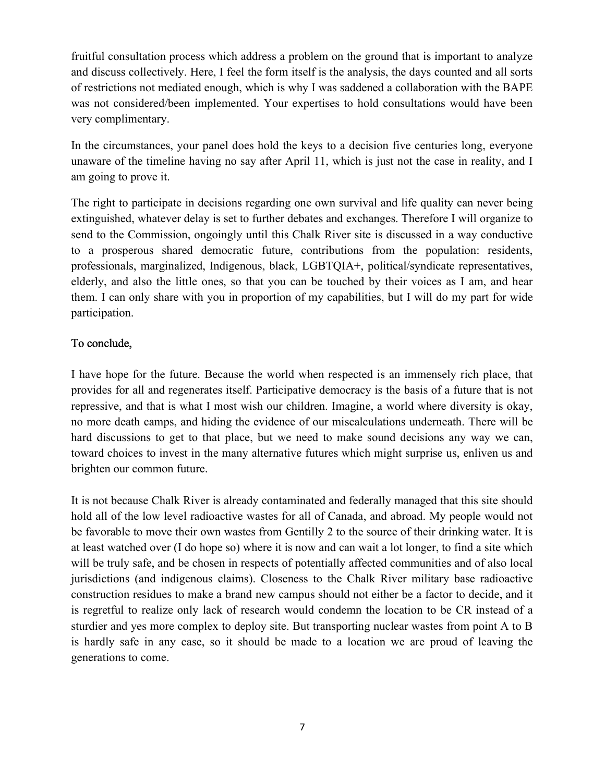fruitful consultation process which address a problem on the ground that is important to analyze and discuss collectively. Here, I feel the form itself is the analysis, the days counted and all sorts of restrictions not mediated enough, which is why I was saddened a collaboration with the BAPE was not considered/been implemented. Your expertises to hold consultations would have been very complimentary.

In the circumstances, your panel does hold the keys to a decision five centuries long, everyone unaware of the timeline having no say after April 11, which is just not the case in reality, and I am going to prove it.

The right to participate in decisions regarding one own survival and life quality can never being extinguished, whatever delay is set to further debates and exchanges. Therefore I will organize to send to the Commission, ongoingly until this Chalk River site is discussed in a way conductive to a prosperous shared democratic future, contributions from the population: residents, professionals, marginalized, Indigenous, black, LGBTQIA+, political/syndicate representatives, elderly, and also the little ones, so that you can be touched by their voices as I am, and hear them. I can only share with you in proportion of my capabilities, but I will do my part for wide participation.

### To conclude,

I have hope for the future. Because the world when respected is an immensely rich place, that provides for all and regenerates itself. Participative democracy is the basis of a future that is not repressive, and that is what I most wish our children. Imagine, a world where diversity is okay, no more death camps, and hiding the evidence of our miscalculations underneath. There will be hard discussions to get to that place, but we need to make sound decisions any way we can, toward choices to invest in the many alternative futures which might surprise us, enliven us and brighten our common future.

It is not because Chalk River is already contaminated and federally managed that this site should hold all of the low level radioactive wastes for all of Canada, and abroad. My people would not be favorable to move their own wastes from Gentilly 2 to the source of their drinking water. It is at least watched over (I do hope so) where it is now and can wait a lot longer, to find a site which will be truly safe, and be chosen in respects of potentially affected communities and of also local jurisdictions (and indigenous claims). Closeness to the Chalk River military base radioactive construction residues to make a brand new campus should not either be a factor to decide, and it is regretful to realize only lack of research would condemn the location to be CR instead of a sturdier and yes more complex to deploy site. But transporting nuclear wastes from point A to B is hardly safe in any case, so it should be made to a location we are proud of leaving the generations to come.